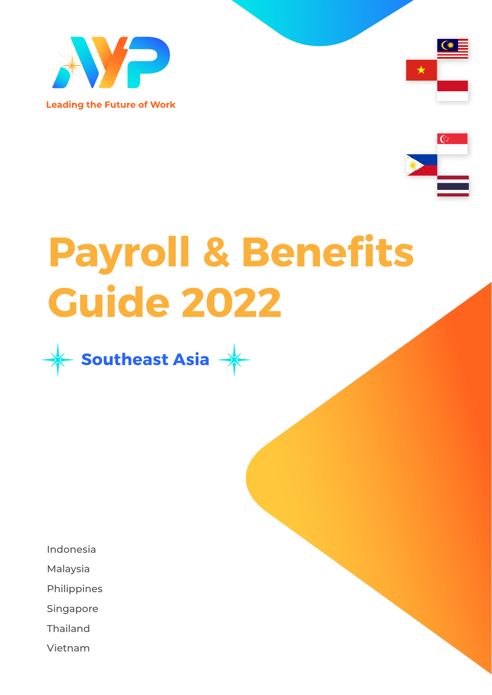

**Leading the Future of Work** 





# **Payroll & Benefits Guide 2022**



Indonesia

Malaysia

Philippines

Singapore

Thailand

Vietnam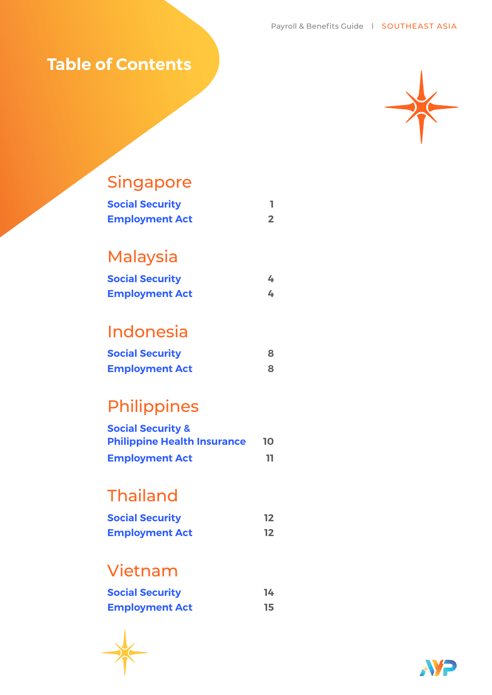## **Table of Contents**



## Singapore

| <b>Social Security</b> |  |
|------------------------|--|
| <b>Employment Act</b>  |  |

## Malaysia

| <b>Social Security</b> |  |
|------------------------|--|
| <b>Employment Act</b>  |  |

## Indonesia

| <b>Social Security</b> | 8 |
|------------------------|---|
| <b>Employment Act</b>  |   |

## Philippines

| <b>Social Security &amp;</b>       |    |
|------------------------------------|----|
| <b>Philippine Health Insurance</b> | 10 |
| <b>Employment Act</b>              | ш  |

## Thailand

| <b>Social Security</b> | 12 |
|------------------------|----|
| <b>Employment Act</b>  | 12 |

## Vietnam

| <b>Social Security</b> | 14 |
|------------------------|----|
| <b>Employment Act</b>  | 15 |

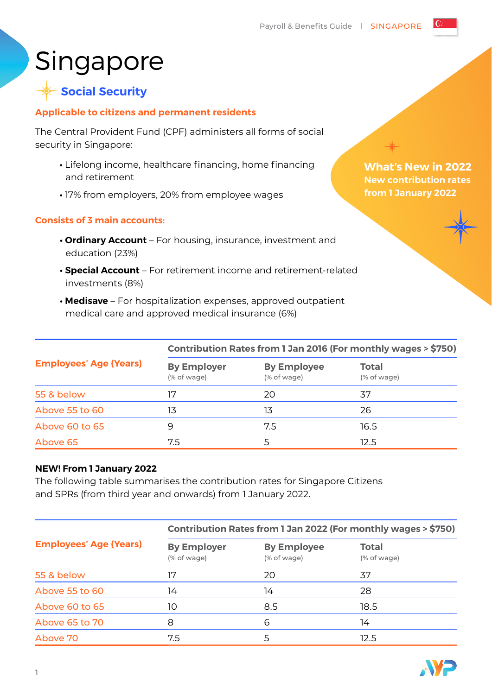## Singapore

### **Social Security**

#### **Applicable to citizens and permanent residents**

The Central Provident Fund (CPF) administers all forms of social security in Singapore:

- **•** Lifelong income, healthcare financing, home financing and retirement
- **•** 17% from employers, 20% from employee wages

#### **Consists of 3 main accounts:**

- **Ordinary Account** For housing, insurance, investment and education (23%)
- **Special Account** For retirement income and retirement-related investments (8%)
- **Medisave** For hospitalization expenses, approved outpatient medical care and approved medical insurance (6%)

|                               | Contribution Rates from 1 Jan 2016 (For monthly wages > \$750) |                                   |                             |
|-------------------------------|----------------------------------------------------------------|-----------------------------------|-----------------------------|
| <b>Employees' Age (Years)</b> | <b>By Employer</b><br>(% of wage)                              | <b>By Employee</b><br>(% of wage) | <b>Total</b><br>(% of wage) |
| 55 & below                    | 17                                                             | 20                                | 37                          |
| Above 55 to 60                | 13                                                             | 13                                | 26                          |
| Above 60 to 65                | 9                                                              | 7.5                               | 16.5                        |
| Above 65                      | 7.5                                                            |                                   | 12.5                        |

#### **NEW! From 1 January 2022**

The following table summarises the contribution rates for Singapore Citizens and SPRs (from third year and onwards) from 1 January 2022.

|                               | Contribution Rates from 1 Jan 2022 (For monthly wages > \$750) |                                   |                             |
|-------------------------------|----------------------------------------------------------------|-----------------------------------|-----------------------------|
| <b>Employees' Age (Years)</b> | <b>By Employer</b><br>(% of wage)                              | <b>By Employee</b><br>(% of wage) | <b>Total</b><br>(% of wage) |
| 55 & below                    | 17                                                             | 20                                | 37                          |
| Above 55 to 60                | 14                                                             | 14                                | 28                          |
| Above 60 to 65                | 10                                                             | 8.5                               | 18.5                        |
| Above 65 to 70                | 8                                                              | 6                                 | 14                          |
| Above 70                      | 7.5                                                            | 5                                 | 12.5                        |

**What's New in 2022 New contribution rates from 1 January 2022**

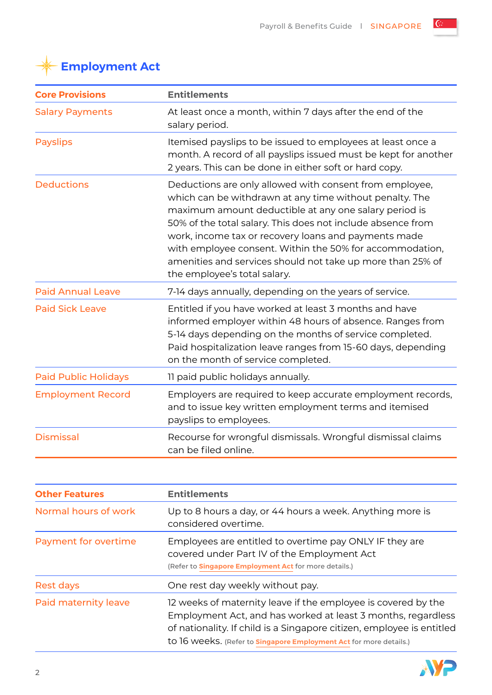€



| <b>Core Provisions</b>      | <b>Entitlements</b>                                                                                                                                                                                                                                                                                                                                                                                                                                          |  |  |
|-----------------------------|--------------------------------------------------------------------------------------------------------------------------------------------------------------------------------------------------------------------------------------------------------------------------------------------------------------------------------------------------------------------------------------------------------------------------------------------------------------|--|--|
| <b>Salary Payments</b>      | At least once a month, within 7 days after the end of the<br>salary period.                                                                                                                                                                                                                                                                                                                                                                                  |  |  |
| <b>Payslips</b>             | Itemised payslips to be issued to employees at least once a<br>month. A record of all payslips issued must be kept for another<br>2 years. This can be done in either soft or hard copy.                                                                                                                                                                                                                                                                     |  |  |
| <b>Deductions</b>           | Deductions are only allowed with consent from employee,<br>which can be withdrawn at any time without penalty. The<br>maximum amount deductible at any one salary period is<br>50% of the total salary. This does not include absence from<br>work, income tax or recovery loans and payments made<br>with employee consent. Within the 50% for accommodation,<br>amenities and services should not take up more than 25% of<br>the employee's total salary. |  |  |
| <b>Paid Annual Leave</b>    | 7-14 days annually, depending on the years of service.                                                                                                                                                                                                                                                                                                                                                                                                       |  |  |
| <b>Paid Sick Leave</b>      | Entitled if you have worked at least 3 months and have<br>informed employer within 48 hours of absence. Ranges from<br>5-14 days depending on the months of service completed.<br>Paid hospitalization leave ranges from 15-60 days, depending<br>on the month of service completed.                                                                                                                                                                         |  |  |
| <b>Paid Public Holidays</b> | 11 paid public holidays annually.                                                                                                                                                                                                                                                                                                                                                                                                                            |  |  |
| <b>Employment Record</b>    | Employers are required to keep accurate employment records,<br>and to issue key written employment terms and itemised<br>payslips to employees.                                                                                                                                                                                                                                                                                                              |  |  |
| <b>Dismissal</b>            | Recourse for wrongful dismissals. Wrongful dismissal claims<br>can be filed online.                                                                                                                                                                                                                                                                                                                                                                          |  |  |

| <b>Other Features</b> | <b>Entitlements</b>                                                                                                                                                                                                                                                                 |  |
|-----------------------|-------------------------------------------------------------------------------------------------------------------------------------------------------------------------------------------------------------------------------------------------------------------------------------|--|
| Normal hours of work  | Up to 8 hours a day, or 44 hours a week. Anything more is<br>considered overtime.                                                                                                                                                                                                   |  |
| Payment for overtime  | Employees are entitled to overtime pay ONLY IF they are<br>covered under Part IV of the Employment Act<br>(Refer to <b>Singapore Employment Act</b> for more details.)                                                                                                              |  |
| <b>Rest days</b>      | One rest day weekly without pay.                                                                                                                                                                                                                                                    |  |
| Paid maternity leave  | 12 weeks of maternity leave if the employee is covered by the<br>Employment Act, and has worked at least 3 months, regardless<br>of nationality. If child is a Singapore citizen, employee is entitled<br>to 16 Weeks. (Refer to <b>Singapore Employment Act</b> for more details.) |  |

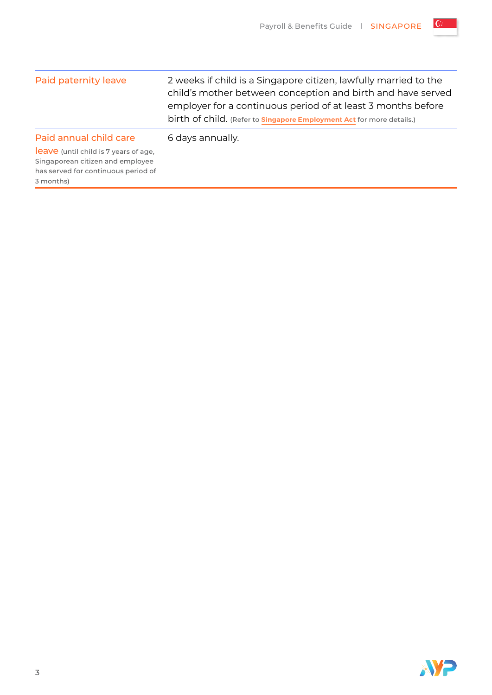G

| Paid paternity leave                                                                                                                       | 2 weeks if child is a Singapore citizen, lawfully married to the<br>child's mother between conception and birth and have served<br>employer for a continuous period of at least 3 months before<br>birth of child. (Refer to <b>Singapore Employment Act</b> for more details.) |
|--------------------------------------------------------------------------------------------------------------------------------------------|---------------------------------------------------------------------------------------------------------------------------------------------------------------------------------------------------------------------------------------------------------------------------------|
| Paid annual child care<br>leave (until child is 7 years of age,<br>Singaporean citizen and employee<br>has served for continuous period of | 6 days annually.                                                                                                                                                                                                                                                                |

3 months)

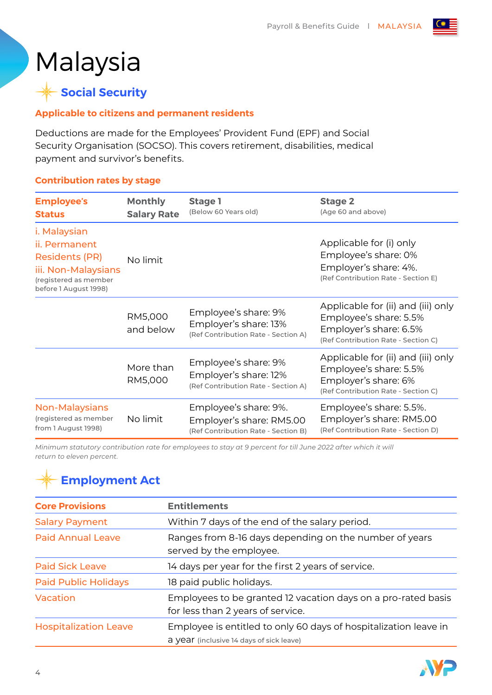## Malaysia

 **Social Security**

#### **Applicable to citizens and permanent residents**

Deductions are made for the Employees' Provident Fund (EPF) and Social Security Organisation (SOCSO). This covers retirement, disabilities, medical payment and survivor's benefits.

#### **Contribution rates by stage**

| <b>Employee's</b><br><b>Status</b>                                    | <b>Monthly</b><br><b>Salary Rate</b> | Stage 1<br>(Below 60 Years old)                                                          | <b>Stage 2</b><br>(Age 60 and above)                                                                                          |
|-----------------------------------------------------------------------|--------------------------------------|------------------------------------------------------------------------------------------|-------------------------------------------------------------------------------------------------------------------------------|
| i. Malaysian                                                          |                                      |                                                                                          |                                                                                                                               |
| ii. Permanent                                                         |                                      |                                                                                          | Applicable for (i) only                                                                                                       |
| <b>Residents (PR)</b>                                                 | No limit                             |                                                                                          | Employee's share: 0%                                                                                                          |
| iii. Non-Malaysians<br>(registered as member<br>before 1 August 1998) |                                      | Employer's share: 4%.<br>(Ref Contribution Rate - Section E)                             |                                                                                                                               |
|                                                                       | RM5,000<br>and below                 | Employee's share: 9%<br>Employer's share: 13%<br>(Ref Contribution Rate - Section A)     | Applicable for (ii) and (iii) only<br>Employee's share: 5.5%<br>Employer's share: 6.5%<br>(Ref Contribution Rate - Section C) |
|                                                                       | More than<br>RM5,000                 | Employee's share: 9%<br>Employer's share: 12%<br>(Ref Contribution Rate - Section A)     | Applicable for (ii) and (iii) only<br>Employee's share: 5.5%<br>Employer's share: 6%<br>(Ref Contribution Rate - Section C)   |
| Non-Malaysians<br>(registered as member<br>from 1 August 1998)        | No limit                             | Employee's share: 9%.<br>Employer's share: RM5.00<br>(Ref Contribution Rate - Section B) | Employee's share: 5.5%.<br>Employer's share: RM5.00<br>(Ref Contribution Rate - Section D)                                    |

*Minimum statutory contribution rate for employees to stay at 9 percent for till June 2022 after which it will return to eleven percent.*

| <b>Core Provisions</b>       | <b>Entitlements</b>                                                                                          |  |
|------------------------------|--------------------------------------------------------------------------------------------------------------|--|
| <b>Salary Payment</b>        | Within 7 days of the end of the salary period.                                                               |  |
| <b>Paid Annual Leave</b>     | Ranges from 8-16 days depending on the number of years<br>served by the employee.                            |  |
| <b>Paid Sick Leave</b>       | 14 days per year for the first 2 years of service.                                                           |  |
| <b>Paid Public Holidays</b>  | 18 paid public holidays.                                                                                     |  |
| Vacation                     | Employees to be granted 12 vacation days on a pro-rated basis<br>for less than 2 years of service.           |  |
| <b>Hospitalization Leave</b> | Employee is entitled to only 60 days of hospitalization leave in<br>a year (inclusive 14 days of sick leave) |  |

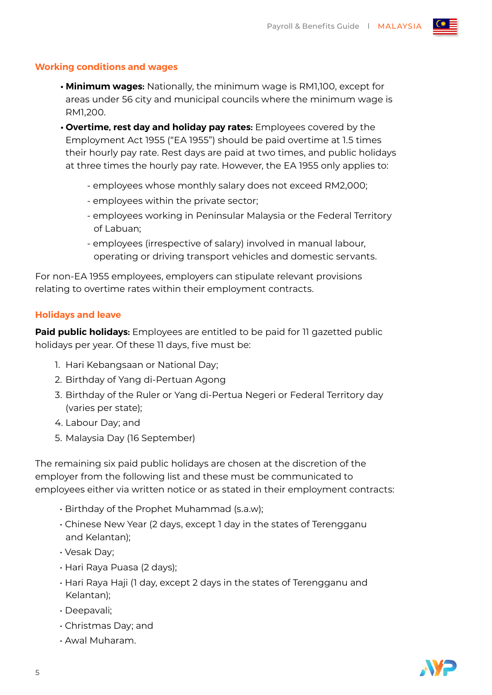#### **Working conditions and wages**

- **Minimum wages:** Nationally, the minimum wage is RM1,100, except for areas under 56 city and municipal councils where the minimum wage is RM1,200.
- **Overtime, rest day and holiday pay rates:** Employees covered by the Employment Act 1955 ("EA 1955") should be paid overtime at 1.5 times their hourly pay rate. Rest days are paid at two times, and public holidays at three times the hourly pay rate. However, the EA 1955 only applies to:
	- employees whose monthly salary does not exceed RM2,000;
	- employees within the private sector;
	- employees working in Peninsular Malaysia or the Federal Territory of Labuan;
	- employees (irrespective of salary) involved in manual labour, operating or driving transport vehicles and domestic servants.

For non-EA 1955 employees, employers can stipulate relevant provisions relating to overtime rates within their employment contracts.

#### **Holidays and leave**

**Paid public holidays:** Employees are entitled to be paid for 11 gazetted public holidays per year. Of these 11 days, five must be:

- 1. Hari Kebangsaan or National Day;
- 2. Birthday of Yang di-Pertuan Agong
- 3. Birthday of the Ruler or Yang di-Pertua Negeri or Federal Territory day (varies per state);
- 4. Labour Day; and
- 5. Malaysia Day (16 September)

The remaining six paid public holidays are chosen at the discretion of the employer from the following list and these must be communicated to employees either via written notice or as stated in their employment contracts:

- Birthday of the Prophet Muhammad (s.a.w);
- Chinese New Year (2 days, except 1 day in the states of Terengganu and Kelantan);
- Vesak Day;
- Hari Raya Puasa (2 days);
- Hari Raya Haji (1 day, except 2 days in the states of Terengganu and Kelantan);
- Deepavali;
- Christmas Day; and
- Awal Muharam.

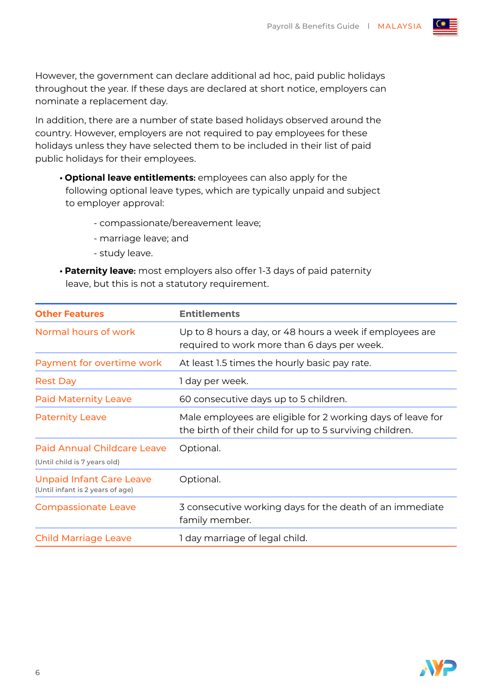However, the government can declare additional ad hoc, paid public holidays throughout the year. If these days are declared at short notice, employers can nominate a replacement day.

In addition, there are a number of state based holidays observed around the country. However, employers are not required to pay employees for these holidays unless they have selected them to be included in their list of paid public holidays for their employees.

- **Optional leave entitlements:** employees can also apply for the following optional leave types, which are typically unpaid and subject to employer approval:
	- compassionate/bereavement leave;
	- marriage leave; and
	- study leave.
- **Paternity leave:** most employers also offer 1-3 days of paid paternity leave, but this is not a statutory requirement.

| <b>Other Features</b>                                               | <b>Entitlements</b>                                                                                                     |  |
|---------------------------------------------------------------------|-------------------------------------------------------------------------------------------------------------------------|--|
| Normal hours of work                                                | Up to 8 hours a day, or 48 hours a week if employees are<br>required to work more than 6 days per week.                 |  |
| Payment for overtime work                                           | At least 1.5 times the hourly basic pay rate.                                                                           |  |
| <b>Rest Day</b>                                                     | 1 day per week.                                                                                                         |  |
| <b>Paid Maternity Leave</b>                                         | 60 consecutive days up to 5 children.                                                                                   |  |
| <b>Paternity Leave</b>                                              | Male employees are eligible for 2 working days of leave for<br>the birth of their child for up to 5 surviving children. |  |
| <b>Paid Annual Childcare Leave</b><br>(Until child is 7 years old)  | Optional.                                                                                                               |  |
| <b>Unpaid Infant Care Leave</b><br>(Until infant is 2 years of age) | Optional.                                                                                                               |  |
| <b>Compassionate Leave</b>                                          | 3 consecutive working days for the death of an immediate<br>family member.                                              |  |
| <b>Child Marriage Leave</b>                                         | 1 day marriage of legal child.                                                                                          |  |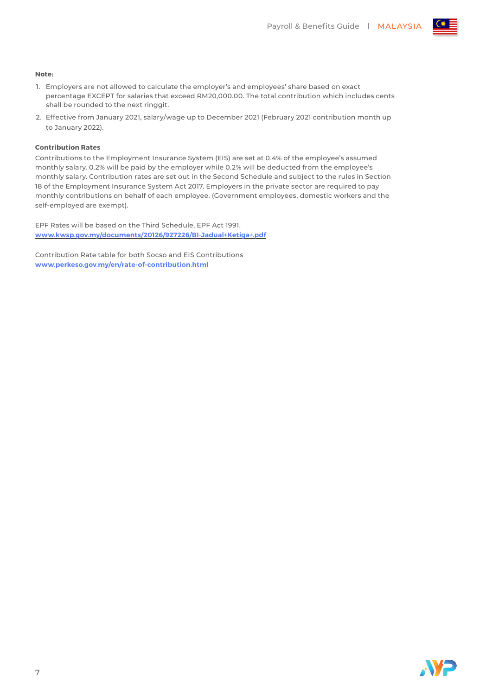

#### **Note:**

- 1. Employers are not allowed to calculate the employer's and employees' share based on exact percentage EXCEPT for salaries that exceed RM20,000.00. The total contribution which includes cents shall be rounded to the next ringgit.
- 2. Effective from January 2021, salary/wage up to December 2021 (February 2021 contribution month up to January 2022).

#### **Contribution Rates**

Contributions to the Employment Insurance System (EIS) are set at 0.4% of the employee's assumed monthly salary. 0.2% will be paid by the employer while 0.2% will be deducted from the employee's monthly salary. Contribution rates are set out in the Second Schedule and subject to the rules in Section 18 of the Employment Insurance System Act 2017. Employers in the private sector are required to pay monthly contributions on behalf of each employee. (Government employees, domestic workers and the self-employed are exempt).

EPF Rates will be based on the Third Schedule, EPF Act 1991. **[www.kwsp.gov.my/documents/20126/927226/BI-Jadual+Ketiga+.pdf](https://www.kwsp.gov.my/documents/20126/927226/BI-Jadual+Ketiga+.pdf)**

Contribution Rate table for both Socso and EIS Contributions **www.perkeso.gov.my/en/rate-of-contribution.html**

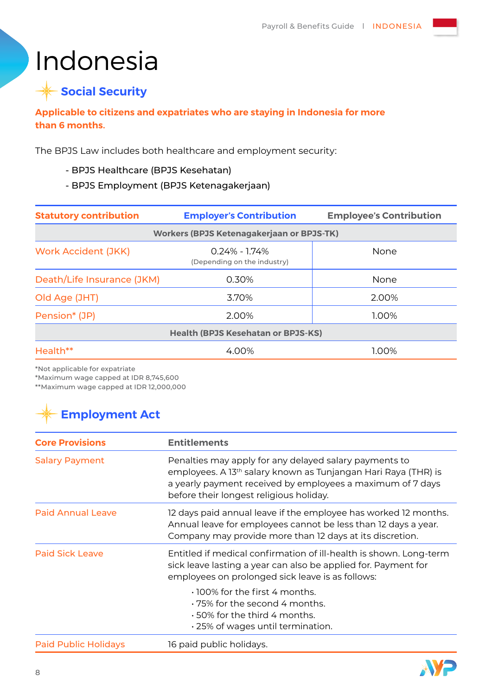## Indonesia

### **Social Security**

#### **Applicable to citizens and expatriates who are staying in Indonesia for more than 6 months.**

The BPJS Law includes both healthcare and employment security:

- BPJS Healthcare (BPJS Kesehatan)
- BPJS Employment (BPJS Ketenagakerjaan)

| <b>Statutory contribution</b> | <b>Employer's Contribution</b>                   | <b>Employee's Contribution</b> |
|-------------------------------|--------------------------------------------------|--------------------------------|
|                               | <b>Workers (BPJS Ketenagakerjaan or BPJS-TK)</b> |                                |
| <b>Work Accident (JKK)</b>    | $0.24\% - 1.74\%$<br>(Depending on the industry) | None                           |
| Death/Life Insurance (JKM)    | 0.30%                                            | None                           |
| Old Age (JHT)                 | 3.70%                                            | 2.00%                          |
| Pension* (JP)                 | 2.00%                                            | 1.00%                          |
|                               | <b>Health (BPJS Kesehatan or BPJS-KS)</b>        |                                |
| Health**                      | 4.00%                                            | 1.00%                          |

\*Not applicable for expatriate

\*Maximum wage capped at IDR 8,745,600

\*\*Maximum wage capped at IDR 12,000,000

| <b>Core Provisions</b>                                                                                                                                                                                                                                                 | <b>Entitlements</b>                                                                                                                                                                           |
|------------------------------------------------------------------------------------------------------------------------------------------------------------------------------------------------------------------------------------------------------------------------|-----------------------------------------------------------------------------------------------------------------------------------------------------------------------------------------------|
| Penalties may apply for any delayed salary payments to<br><b>Salary Payment</b><br>employees. A 13 <sup>th</sup> salary known as Tunjangan Hari Raya (THR) is<br>a yearly payment received by employees a maximum of 7 days<br>before their longest religious holiday. |                                                                                                                                                                                               |
| <b>Paid Annual Leave</b>                                                                                                                                                                                                                                               | 12 days paid annual leave if the employee has worked 12 months.<br>Annual leave for employees cannot be less than 12 days a year.<br>Company may provide more than 12 days at its discretion. |
| <b>Paid Sick Leave</b>                                                                                                                                                                                                                                                 | Entitled if medical confirmation of ill-health is shown. Long-term<br>sick leave lasting a year can also be applied for. Payment for<br>employees on prolonged sick leave is as follows:      |
|                                                                                                                                                                                                                                                                        | $\cdot$ 100% for the first 4 months.<br>$+75\%$ for the second 4 months.<br>$\cdot$ 50% for the third 4 months.<br>. 25% of wages until termination.                                          |
| <b>Paid Public Holidays</b>                                                                                                                                                                                                                                            | 16 paid public holidays.                                                                                                                                                                      |

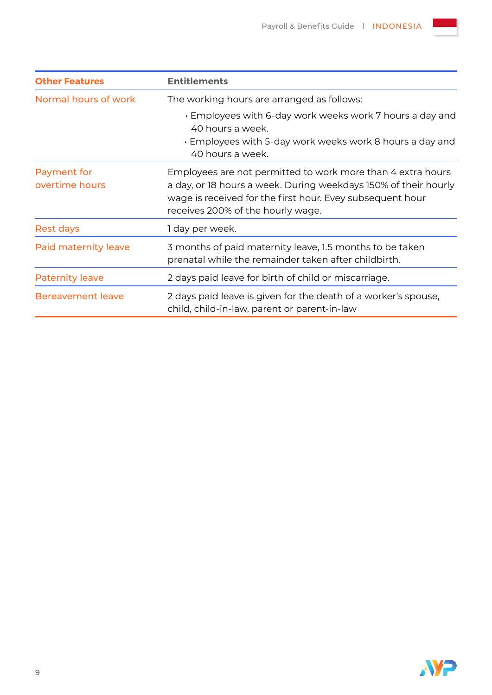| <b>Other Features</b>         | <b>Entitlements</b>                                                                                                                                                                                                              |  |  |
|-------------------------------|----------------------------------------------------------------------------------------------------------------------------------------------------------------------------------------------------------------------------------|--|--|
| Normal hours of work          | The working hours are arranged as follows:                                                                                                                                                                                       |  |  |
|                               | . Employees with 6-day work weeks work 7 hours a day and<br>40 hours a week.<br>• Employees with 5-day work weeks work 8 hours a day and<br>40 hours a week.                                                                     |  |  |
| Payment for<br>overtime hours | Employees are not permitted to work more than 4 extra hours<br>a day, or 18 hours a week. During weekdays 150% of their hourly<br>wage is received for the first hour. Evey subsequent hour<br>receives 200% of the hourly wage. |  |  |
| Rest days                     | 1 day per week.                                                                                                                                                                                                                  |  |  |
| Paid maternity leave          | 3 months of paid maternity leave, 1.5 months to be taken<br>prenatal while the remainder taken after childbirth.                                                                                                                 |  |  |
| <b>Paternity leave</b>        | 2 days paid leave for birth of child or miscarriage.                                                                                                                                                                             |  |  |
| <b>Bereavement leave</b>      | 2 days paid leave is given for the death of a worker's spouse,<br>child, child-in-law, parent or parent-in-law                                                                                                                   |  |  |

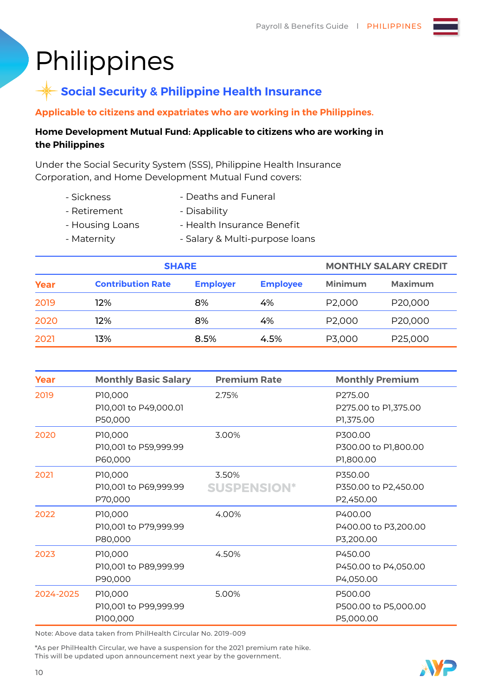## **Philippines**

### **Social Security & Philippine Health Insurance**

**Applicable to citizens and expatriates who are working in the Philippines.**

#### **Home Development Mutual Fund: Applicable to citizens who are working in the Philippines**

Under the Social Security System (SSS), Philippine Health Insurance Corporation, and Home Development Mutual Fund covers:

- Sickness - Retirement - Deaths and Funeral
- 
- Disability
- Housing Loans
- Health Insurance Benefit
- Maternity
- Salary & Multi-purpose loans

| <b>SHARE</b> |                          |                 |                 | <b>MONTHLY SALARY CREDIT</b> |                |
|--------------|--------------------------|-----------------|-----------------|------------------------------|----------------|
| Year         | <b>Contribution Rate</b> | <b>Employer</b> | <b>Employee</b> | <b>Minimum</b>               | <b>Maximum</b> |
| 2019         | 12%                      | 8%              | 4%              | P2,000                       | P20,000        |
| 2020         | 12%                      | 8%              | 4%              | P <sub>2</sub> ,000          | P20,000        |
| 2021         | 13%                      | 8.5%            | 4.5%            | P3,000                       | P25,000        |

| Year      | <b>Monthly Basic Salary</b>                  | <b>Premium Rate</b>         | <b>Monthly Premium</b>                       |
|-----------|----------------------------------------------|-----------------------------|----------------------------------------------|
| 2019      | P10,000<br>P10,001 to P49,000.01<br>P50,000  | 2.75%                       | P275.00<br>P275.00 to P1,375.00<br>P1,375.00 |
| 2020      | P10,000<br>P10,001 to P59,999.99<br>P60,000  | 3.00%                       | P300.00<br>P300.00 to P1,800.00<br>P1,800.00 |
| 2021      | P10,000<br>P10,001 to P69,999.99<br>P70,000  | 3.50%<br><b>SUSPENSION*</b> | P350.00<br>P350.00 to P2,450.00<br>P2,450.00 |
| 2022      | P10,000<br>P10,001 to P79,999.99<br>P80,000  | 4.00%                       | P400.00<br>P400.00 to P3,200.00<br>P3,200.00 |
| 2023      | P10,000<br>P10,001 to P89,999.99<br>P90,000  | 4.50%                       | P450.00<br>P450.00 to P4,050.00<br>P4,050.00 |
| 2024-2025 | P10,000<br>P10,001 to P99,999.99<br>P100,000 | 5.00%                       | P500.00<br>P500.00 to P5,000.00<br>P5,000.00 |

Note: Above data taken from PhilHealth Circular No. 2019-009

\*As per PhilHealth Circular, we have a suspension for the 2021 premium rate hike. This will be updated upon announcement next year by the government.

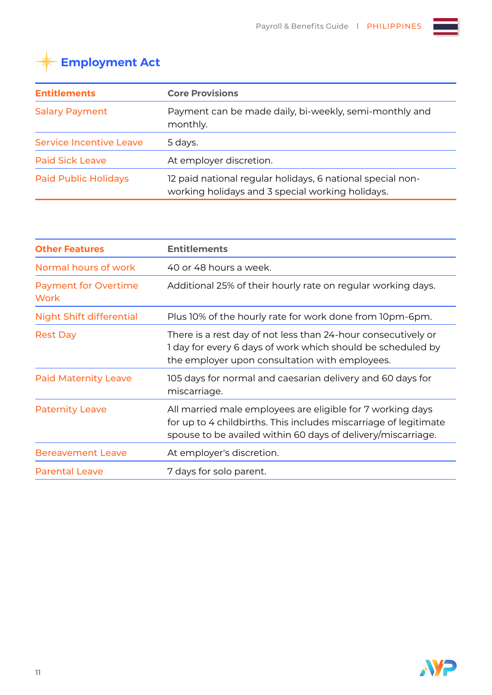

| <b>Entitlements</b>            | <b>Core Provisions</b>                                                                                         |  |
|--------------------------------|----------------------------------------------------------------------------------------------------------------|--|
| <b>Salary Payment</b>          | Payment can be made daily, bi-weekly, semi-monthly and<br>monthly.                                             |  |
| <b>Service Incentive Leave</b> | 5 days.                                                                                                        |  |
| <b>Paid Sick Leave</b>         | At employer discretion.                                                                                        |  |
| <b>Paid Public Holidays</b>    | 12 paid national regular holidays, 6 national special non-<br>working holidays and 3 special working holidays. |  |

| <b>Other Features</b>                      | <b>Entitlements</b>                                                                                                                                                                            |
|--------------------------------------------|------------------------------------------------------------------------------------------------------------------------------------------------------------------------------------------------|
| Normal hours of work                       | 40 or 48 hours a week.                                                                                                                                                                         |
| <b>Payment for Overtime</b><br><b>Work</b> | Additional 25% of their hourly rate on regular working days.                                                                                                                                   |
| <b>Night Shift differential</b>            | Plus 10% of the hourly rate for work done from 10pm-6pm.                                                                                                                                       |
| <b>Rest Day</b>                            | There is a rest day of not less than 24-hour consecutively or<br>I day for every 6 days of work which should be scheduled by<br>the employer upon consultation with employees.                 |
| <b>Paid Maternity Leave</b>                | 105 days for normal and caesarian delivery and 60 days for<br>miscarriage.                                                                                                                     |
| <b>Paternity Leave</b>                     | All married male employees are eligible for 7 working days<br>for up to 4 childbirths. This includes miscarriage of legitimate<br>spouse to be availed within 60 days of delivery/miscarriage. |
| <b>Bereavement Leave</b>                   | At employer's discretion.                                                                                                                                                                      |
| <b>Parental Leave</b>                      | 7 days for solo parent.                                                                                                                                                                        |

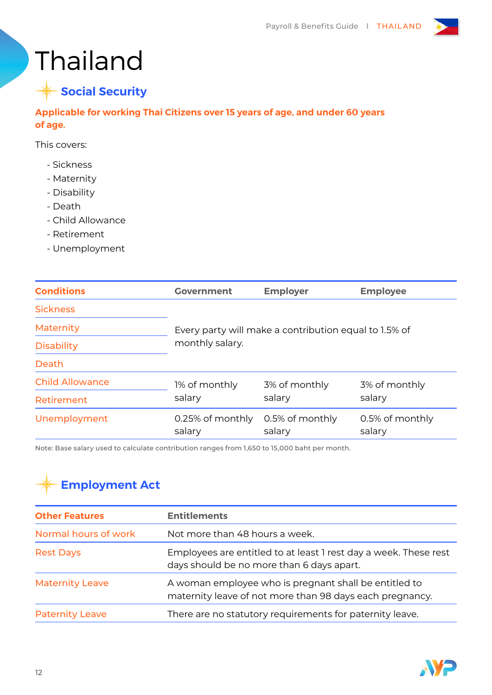



**Applicable for working Thai Citizens over 15 years of age, and under 60 years of age.**

This covers:

- Sickness
- Maternity
- Disability
- Death
- Child Allowance
- Retirement
- Unemployment

| <b>Conditions</b>      | <b>Government</b>          | <b>Employer</b>                                                          | <b>Employee</b>           |  |  |
|------------------------|----------------------------|--------------------------------------------------------------------------|---------------------------|--|--|
| <b>Sickness</b>        |                            |                                                                          |                           |  |  |
| Maternity              |                            | Every party will make a contribution equal to 1.5% of<br>monthly salary. |                           |  |  |
| <b>Disability</b>      |                            |                                                                          |                           |  |  |
| Death                  |                            |                                                                          |                           |  |  |
| <b>Child Allowance</b> | 1% of monthly              | 3% of monthly                                                            | 3% of monthly             |  |  |
| Retirement             | salary                     | salary                                                                   | salary                    |  |  |
| Unemployment           | 0.25% of monthly<br>salary | 0.5% of monthly<br>salary                                                | 0.5% of monthly<br>salary |  |  |

Note: Base salary used to calculate contribution ranges from 1,650 to 15,000 baht per month.

| <b>Other Features</b>  | <b>Entitlements</b>                                                                                               |  |
|------------------------|-------------------------------------------------------------------------------------------------------------------|--|
| Normal hours of work   | Not more than 48 hours a week.                                                                                    |  |
| <b>Rest Days</b>       | Employees are entitled to at least I rest day a week. These rest<br>days should be no more than 6 days apart.     |  |
| <b>Maternity Leave</b> | A woman employee who is pregnant shall be entitled to<br>maternity leave of not more than 98 days each pregnancy. |  |
| <b>Paternity Leave</b> | There are no statutory requirements for paternity leave.                                                          |  |

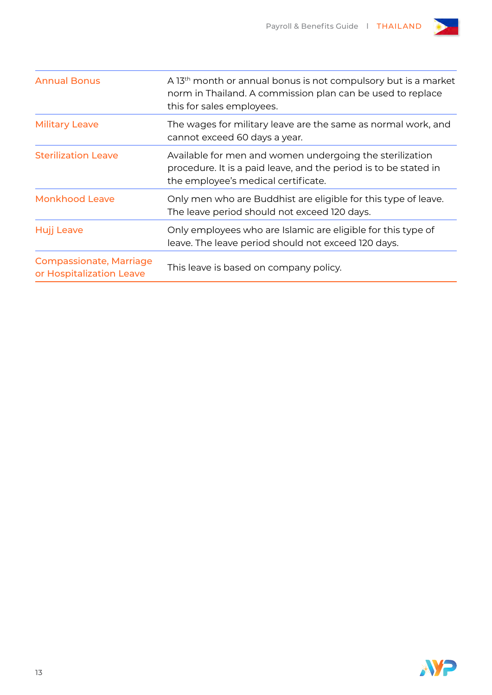

| <b>Annual Bonus</b>                                        | A 13 <sup>th</sup> month or annual bonus is not compulsory but is a market<br>norm in Thailand. A commission plan can be used to replace<br>this for sales employees. |
|------------------------------------------------------------|-----------------------------------------------------------------------------------------------------------------------------------------------------------------------|
| <b>Military Leave</b>                                      | The wages for military leave are the same as normal work, and<br>cannot exceed 60 days a year.                                                                        |
| <b>Sterilization Leave</b>                                 | Available for men and women undergoing the sterilization<br>procedure. It is a paid leave, and the period is to be stated in<br>the employee's medical certificate.   |
| <b>Monkhood Leave</b>                                      | Only men who are Buddhist are eligible for this type of leave.<br>The leave period should not exceed 120 days.                                                        |
| Hujj Leave                                                 | Only employees who are Islamic are eligible for this type of<br>leave. The leave period should not exceed 120 days.                                                   |
| <b>Compassionate, Marriage</b><br>or Hospitalization Leave | This leave is based on company policy.                                                                                                                                |

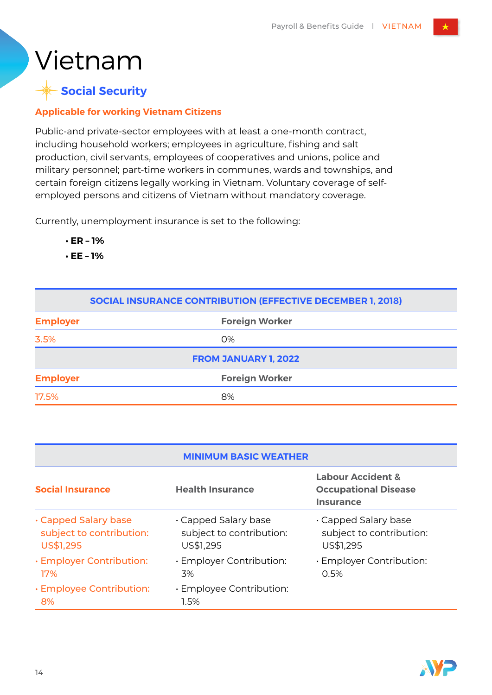## Vietnam

### **Social Security**

#### **Applicable for working Vietnam Citizens**

Public-and private-sector employees with at least a one-month contract, including household workers; employees in agriculture, fishing and salt production, civil servants, employees of cooperatives and unions, police and military personnel; part-time workers in communes, wards and townships, and certain foreign citizens legally working in Vietnam. Voluntary coverage of selfemployed persons and citizens of Vietnam without mandatory coverage.

Currently, unemployment insurance is set to the following:

- **ER 1%**
- **EE 1%**

| <b>SOCIAL INSURANCE CONTRIBUTION (EFFECTIVE DECEMBER 1, 2018)</b> |                       |                             |  |  |  |
|-------------------------------------------------------------------|-----------------------|-----------------------------|--|--|--|
| <b>Employer</b>                                                   | <b>Foreign Worker</b> |                             |  |  |  |
| 3.5%                                                              | 0%                    |                             |  |  |  |
|                                                                   |                       | <b>FROM JANUARY 1, 2022</b> |  |  |  |
| <b>Employer</b>                                                   |                       | <b>Foreign Worker</b>       |  |  |  |
| 17.5%                                                             |                       | 8%                          |  |  |  |

| <b>MINIMUM BASIC WEATHER</b>                                  |                                                             |                                                                                 |  |  |  |
|---------------------------------------------------------------|-------------------------------------------------------------|---------------------------------------------------------------------------------|--|--|--|
| <b>Social Insurance</b>                                       | <b>Health Insurance</b>                                     | <b>Labour Accident &amp;</b><br><b>Occupational Disease</b><br><b>Insurance</b> |  |  |  |
| . Capped Salary base<br>subject to contribution:<br>US\$1,295 | Capped Salary base<br>subject to contribution:<br>US\$1,295 | Capped Salary base<br>subject to contribution:<br>US\$1,295                     |  |  |  |
| · Employer Contribution:<br>17%                               | · Employer Contribution:<br>3%                              | · Employer Contribution:<br>0.5%                                                |  |  |  |
| · Employee Contribution:<br>8%                                | · Employee Contribution:<br>1.5%                            |                                                                                 |  |  |  |

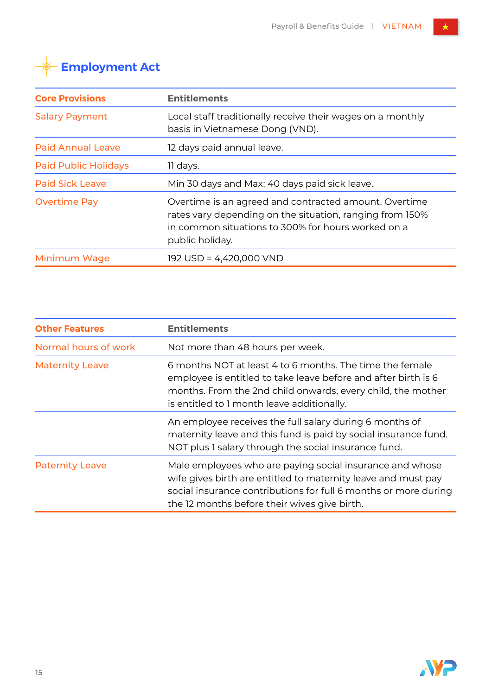| <b>Core Provisions</b>      | <b>Entitlements</b>                                                                                                                                                                        |  |  |  |
|-----------------------------|--------------------------------------------------------------------------------------------------------------------------------------------------------------------------------------------|--|--|--|
| <b>Salary Payment</b>       | Local staff traditionally receive their wages on a monthly<br>basis in Vietnamese Dong (VND).                                                                                              |  |  |  |
| <b>Paid Annual Leave</b>    | 12 days paid annual leave.                                                                                                                                                                 |  |  |  |
| <b>Paid Public Holidays</b> | 11 days.                                                                                                                                                                                   |  |  |  |
| <b>Paid Sick Leave</b>      | Min 30 days and Max: 40 days paid sick leave.                                                                                                                                              |  |  |  |
| <b>Overtime Pay</b>         | Overtime is an agreed and contracted amount. Overtime<br>rates vary depending on the situation, ranging from 150%<br>in common situations to 300% for hours worked on a<br>public holiday. |  |  |  |
| Minimum Wage                | 192 USD = 4,420,000 VND                                                                                                                                                                    |  |  |  |

| <b>Other Features</b>  | <b>Entitlements</b>                                                                                                                                                                                                                          |  |  |  |
|------------------------|----------------------------------------------------------------------------------------------------------------------------------------------------------------------------------------------------------------------------------------------|--|--|--|
| Normal hours of work   | Not more than 48 hours per week.                                                                                                                                                                                                             |  |  |  |
| <b>Maternity Leave</b> | 6 months NOT at least 4 to 6 months. The time the female<br>employee is entitled to take leave before and after birth is 6<br>months. From the 2nd child onwards, every child, the mother<br>is entitled to 1 month leave additionally.      |  |  |  |
|                        | An employee receives the full salary during 6 months of<br>maternity leave and this fund is paid by social insurance fund.<br>NOT plus 1 salary through the social insurance fund.                                                           |  |  |  |
| <b>Paternity Leave</b> | Male employees who are paying social insurance and whose<br>wife gives birth are entitled to maternity leave and must pay<br>social insurance contributions for full 6 months or more during<br>the 12 months before their wives give birth. |  |  |  |